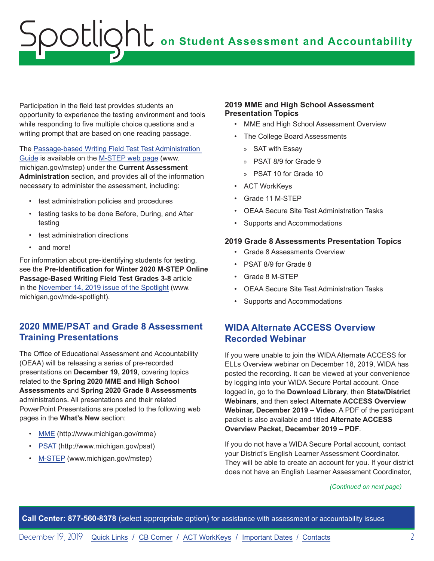Participation in the field test provides students an opportunity to experience the testing environment and tools while responding to five multiple choice questions and a writing prompt that are based on one reading passage.

The [Passage-based Writing Field Test Test Administration](hhttps://www.michigan.gov/documents/mde/Passage-Based_Writing_Field_Test_TAM_673178_7.pdf)  [Guide](hhttps://www.michigan.gov/documents/mde/Passage-Based_Writing_Field_Test_TAM_673178_7.pdf) is available on the [M-STEP web page](www.michigan.gov/mstep) (www. michigan.gov/mstep) under the **Current Assessment Administration** section, and provides all of the information necessary to administer the assessment, including:

- test administration policies and procedures
- testing tasks to be done Before, During, and After testing
- test administration directions
- and more!

For information about pre-identifying students for testing, see the **Pre-Identification for Winter 2020 M-STEP Online Passage-Based Writing Field Test Grades 3-8** article in the [November 14, 2019 issue of the Spotlight](https://www.michigan.gov/documents/mde/Spotlight_11-14-19_671461_7.pdf) (www. michigan,gov/mde-spotlight).

## **2020 MME/PSAT and Grade 8 Assessment Training Presentations**

The Office of Educational Assessment and Accountability (OEAA) will be releasing a series of pre-recorded presentations on **December 19, 2019**, covering topics related to the **Spring 2020 MME and High School Assessments** and **Spring 2020 Grade 8 Assessments** administrations. All presentations and their related PowerPoint Presentations are posted to the following web pages in the **What's New** section:

- [MME](www.michigan.gov/mme) (http://www.michigan.gov/mme)
- [PSAT](http://www.michigan.gov/psat) (http://www.michigan.gov/psat)
- [M-STEP](www.michigan.gov/mstep) (www.michigan.gov/mstep)

#### **2019 MME and High School Assessment Presentation Topics**

- MME and High School Assessment Overview
- The College Board Assessments
	- » SAT with Essay
	- » PSAT 8/9 for Grade 9
	- » PSAT 10 for Grade 10
- ACT WorkKeys
- Grade 11 M-STEP
- OEAA Secure Site Test Administration Tasks
- Supports and Accommodations

#### **2019 Grade 8 Assessments Presentation Topics**

- Grade 8 Assessments Overview
- PSAT 8/9 for Grade 8
- Grade 8 M-STEP
- OEAA Secure Site Test Administration Tasks
- Supports and Accommodations

## **WIDA Alternate ACCESS Overview Recorded Webinar**

If you were unable to join the WIDA Alternate ACCESS for ELLs Overview webinar on December 18, 2019, WIDA has posted the recording. It can be viewed at your convenience by logging into your WIDA Secure Portal account. Once logged in, go to the **Download Library**, then **State/District Webinars**, and then select **Alternate ACCESS Overview Webinar, December 2019 – Video**. A PDF of the participant packet is also available and titled **Alternate ACCESS Overview Packet, December 2019 – PDF**.

If you do not have a WIDA Secure Portal account, contact your District's English Learner Assessment Coordinator. They will be able to create an account for you. If your district does not have an English Learner Assessment Coordinator,

#### *(Continued on next page)*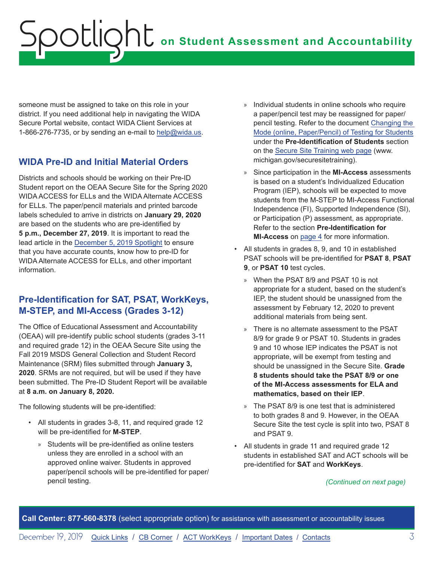someone must be assigned to take on this role in your district. If you need additional help in navigating the WIDA Secure Portal website, contact WIDA Client Services at 1-866-276-7735, or by sending an e-mail to [help@wida.us](mailto:help%40wida.us?subject=).

## **WIDA Pre-ID and Initial Material Orders**

Districts and schools should be working on their Pre-ID Student report on the OEAA Secure Site for the Spring 2020 WIDA ACCESS for ELLs and the WIDA Alternate ACCESS for ELLs. The paper/pencil materials and printed barcode labels scheduled to arrive in districts on **January 29, 2020**  are based on the students who are pre-identified by **5 p.m., December 27, 2019**. It is important to read the lead article in the [December 5, 2019 Spotlight](https://www.michigan.gov/documents/mde/Spotlight_12-5-19_673214_7.pdf) to ensure that you have accurate counts, know how to pre-ID for WIDA Alternate ACCESS for ELLs, and other important information.

## **Pre-Identification for SAT, PSAT, WorkKeys, M-STEP, and MI-Access (Grades 3-12)**

The Office of Educational Assessment and Accountability (OEAA) will pre-identify public school students (grades 3-11 and required grade 12) in the OEAA Secure Site using the Fall 2019 MSDS General Collection and Student Record Maintenance (SRM) files submitted through **January 3, 2020**. SRMs are not required, but will be used if they have been submitted. The Pre-ID Student Report will be available at **8 a.m. on January 8, 2020.**

The following students will be pre-identified:

- All students in grades 3-8, 11, and required grade 12 will be pre-identified for **M-STEP**.
	- » Students will be pre-identified as online testers unless they are enrolled in a school with an approved online waiver. Students in approved paper/pencil schools will be pre-identified for paper/ pencil testing.
- » Individual students in online schools who require a paper/pencil test may be reassigned for paper/ pencil testing. Refer to the document [Changing the](http://www.michigan.gov/documents/mde/Changing_Mode_of_Assessment_instructions_601212_7.pdf)  [Mode \(online, Paper/Pencil\) of Testing for Students](http://www.michigan.gov/documents/mde/Changing_Mode_of_Assessment_instructions_601212_7.pdf) under the **Pre-Identification of Students** section on the [Secure Site Training web page](http://www.michigan.gov/securesitetraining) (www. michigan.gov/securesitetraining).
- » Since participation in the **MI-Access** assessments is based on a student's Individualized Education Program (IEP), schools will be expected to move students from the M-STEP to MI-Access Functional Independence (FI), Supported Independence (SI), or Participation (P) assessment, as appropriate. Refer to the section **Pre-Identification for MI-Access** on [page 4](#page-3-0) for more information.
- All students in grades 8, 9, and 10 in established PSAT schools will be pre-identified for **PSAT 8**, **PSAT 9**, or **PSAT 10** test cycles.
	- » When the PSAT 8/9 and PSAT 10 is not appropriate for a student, based on the student's IEP, the student should be unassigned from the assessment by February 12, 2020 to prevent additional materials from being sent.
	- » There is no alternate assessment to the PSAT 8/9 for grade 9 or PSAT 10. Students in grades 9 and 10 whose IEP indicates the PSAT is not appropriate, will be exempt from testing and should be unassigned in the Secure Site. **Grade 8 students should take the PSAT 8/9 or one of the MI-Access assessments for ELA and mathematics, based on their IEP**.
	- » The PSAT 8/9 is one test that is administered to both grades 8 and 9. However, in the OEAA Secure Site the test cycle is split into two, PSAT 8 and PSAT 9.
- All students in grade 11 and required grade 12 students in established SAT and ACT schools will be pre-identified for **SAT** and **WorkKeys**.

#### *(Continued on next page)*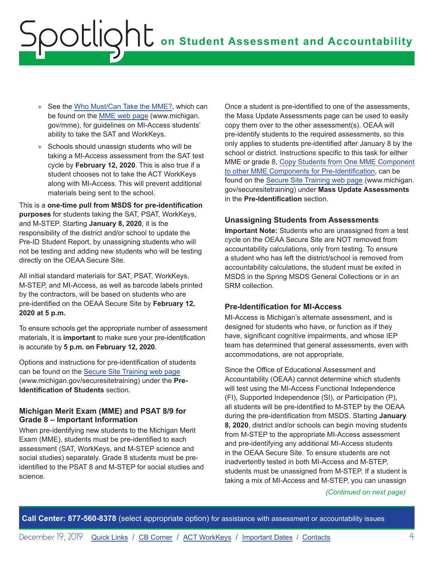- <span id="page-3-0"></span>» See the [Who Must/Can Take the MME?,](http://www.michigan.gov/documents/mde/MME_Eligibility_544301_7.pdf) which can be found on the [MME web page](www.michigan.gov/mme) (www.michigan. gov/mme), for guidelines on MI-Access students' ability to take the SAT and WorkKeys.
- » Schools should unassign students who will be taking a MI-Access assessment from the SAT test cycle by **February 12, 2020**. This is also true if a student chooses not to take the ACT WorkKeys along with MI-Access. This will prevent additional materials being sent to the school.

This is a **one-time pull from MSDS for pre-identification purposes** for students taking the SAT, PSAT, WorkKeys, and M-STEP. Starting **January 8, 2020**, it is the responsibility of the district and/or school to update the Pre-ID Student Report, by unassigning students who will not be testing and adding new students who will be testing directly on the OEAA Secure Site.

All initial standard materials for SAT, PSAT, WorkKeys, M-STEP, and MI-Access, as well as barcode labels printed by the contractors, will be based on students who are pre-identified on the OEAA Secure Site by **February 12, 2020 at 5 p.m.**

To ensure schools get the appropriate number of assessment materials, it is **important** to make sure your pre-identification is accurate by **5 p.m. on February 12, 2020**.

Options and instructions for pre-identification of students can be found on the [Secure Site Training web page](http://www.michigan.gov/securesitetraining) (www.michigan.gov/securesitetraining) under the **Pre-Identification of Students** section.

#### **Michigan Merit Exam (MME) and PSAT 8/9 for Grade 8 – Important Information**

When pre-identifying new students to the Michigan Merit Exam (MME), students must be pre-identified to each assessment (SAT, WorkKeys, and M-STEP science and social studies) separately. Grade 8 students must be preidentified to the PSAT 8 and M-STEP for social studies and science.

Once a student is pre-identified to one of the assessments, the Mass Update Assessments page can be used to easily copy them over to the other assessment(s). OEAA will pre-identify students to the required assessments, so this only applies to students pre-identified after January 8 by the school or district. Instructions specific to this task for either MME or grade 8, [Copy Students from One MME Component](http://www.michigan.gov/documents/mde/MME_Mass_Update_Assessments_Quick_Reference_509799_7_544169_7.pdf)  [to other MME Components for Pre-Identification](http://www.michigan.gov/documents/mde/MME_Mass_Update_Assessments_Quick_Reference_509799_7_544169_7.pdf), can be found on the [Secure Site Training web page](http://www.michigan.gov/securesitetraining) (www.michigan. gov/securesitetraining) under **Mass Update Assessments** in the **Pre-Identification** section.

#### **Unassigning Students from Assessments**

**Important Note:** Students who are unassigned from a test cycle on the OEAA Secure Site are NOT removed from accountability calculations, only from testing. To ensure a student who has left the district/school is removed from accountability calculations, the student must be exited in MSDS in the Spring MSDS General Collections or in an SRM collection.

## **Pre-Identification for MI-Access**

MI-Access is Michigan's alternate assessment, and is designed for students who have, or function as if they have, significant cognitive impairments, and whose IEP team has determined that general assessments, even with accommodations, are not appropriate.

Since the Office of Educational Assessment and Accountability (OEAA) cannot determine which students will test using the MI-Access Functional Independence (FI), Supported Independence (SI), or Participation (P), all students will be pre-identified to M-STEP by the OEAA during the pre-identification from MSDS. Starting **January 8, 2020**, district and/or schools can begin moving students from M-STEP to the appropriate MI-Access assessment and pre-identifying any additional MI-Access students in the OEAA Secure Site. To ensure students are not inadvertently tested in both MI-Access and M-STEP, students must be unassigned from M-STEP. If a student is taking a mix of MI-Access and M-STEP, you can unassign

#### *(Continued on next page)*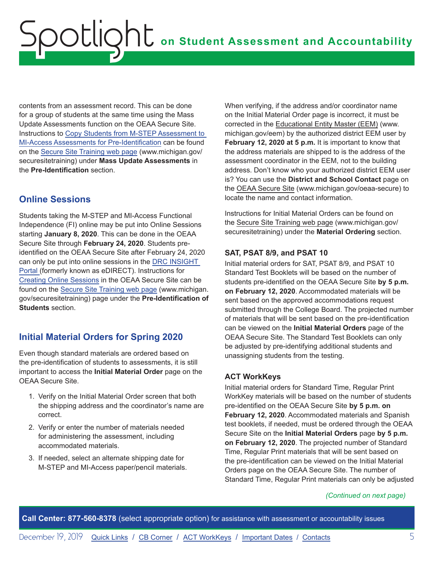contents from an assessment record. This can be done for a group of students at the same time using the Mass Update Assessments function on the OEAA Secure Site. Instructions to [Copy Students from M-STEP Assessment to](http://www.michigan.gov/documents/mde/MI_Access_Mass_Update_Assessments_quick_Reference_509800_7.pdf)  [MI-Access Assessments for Pre-Identification](http://www.michigan.gov/documents/mde/MI_Access_Mass_Update_Assessments_quick_Reference_509800_7.pdf) can be found on the [Secure Site Training web page](http://www.michigan.gov/securesitetraining) (www.michigan.gov/ securesitetraining) under **Mass Update Assessments** in the **Pre-Identification** section.

## **Online Sessions**

Students taking the M-STEP and MI-Access Functional Independence (FI) online may be put into Online Sessions starting **January 8, 2020**. This can be done in the OEAA Secure Site through **February 24, 2020**. Students preidentified on the OEAA Secure Site after February 24, 2020 can only be put into online sessions in the [DRC INSIGHT](https://mi.drcedirect.com)  [Portal \(](https://mi.drcedirect.com)formerly known as eDIRECT). Instructions for [Creating Online Sessions](http://www.michigan.gov/documents/mde/Session_Page_Quick_Reference_2_509973_7.pdf) in the OEAA Secure Site can be found on the [Secure Site Training web page](http://www.michigan.gov/securesitetraining) (www.michigan. gov/securesitetraining) page under the **Pre-Identification of Students** section.

## **Initial Material Orders for Spring 2020**

Even though standard materials are ordered based on the pre-identification of students to assessments, it is still important to access the **Initial Material Order** page on the OEAA Secure Site.

- 1. Verify on the Initial Material Order screen that both the shipping address and the coordinator's name are correct.
- 2. Verify or enter the number of materials needed for administering the assessment, including accommodated materials.
- 3. If needed, select an alternate shipping date for M-STEP and MI-Access paper/pencil materials.

When verifying, if the address and/or coordinator name on the Initial Material Order page is incorrect, it must be corrected in the [Educational Entity Master \(EEM\)](www.michigan.gov/EEM) (www. michigan.gov/eem) by the authorized district EEM user by **February 12, 2020 at 5 p.m.** It is important to know that the address materials are shipped to is the address of the assessment coordinator in the EEM, not to the building address. Don't know who your authorized district EEM user is? You can use the **District and School Contact** page on the [OEAA Secure Site](http://www.michigan.gov/oeaa-secure) (www.michigan.gov/oeaa-secure) to locate the name and contact information.

Instructions for Initial Material Orders can be found on the [Secure Site Training web page](http://www.michigan.gov/securesitetraining) (www.michigan.gov/ securesitetraining) under the **Material Ordering** section.

## **SAT, PSAT 8/9, and PSAT 10**

Initial material orders for SAT, PSAT 8/9, and PSAT 10 Standard Test Booklets will be based on the number of students pre-identified on the OEAA Secure Site **by 5 p.m. on February 12, 2020**. Accommodated materials will be sent based on the approved accommodations request submitted through the College Board. The projected number of materials that will be sent based on the pre-identification can be viewed on the **Initial Material Orders** page of the OEAA Secure Site. The Standard Test Booklets can only be adjusted by pre-identifying additional students and unassigning students from the testing.

## **ACT WorkKeys**

Initial material orders for Standard Time, Regular Print WorkKey materials will be based on the number of students pre-identified on the OEAA Secure Site **by 5 p.m. on February 12, 2020**. Accommodated materials and Spanish test booklets, if needed, must be ordered through the OEAA Secure Site on the **Initial Material Orders** page **by 5 p.m. on February 12, 2020**. The projected number of Standard Time, Regular Print materials that will be sent based on the pre-identification can be viewed on the Initial Material Orders page on the OEAA Secure Site. The number of Standard Time, Regular Print materials can only be adjusted

#### *(Continued on next page)*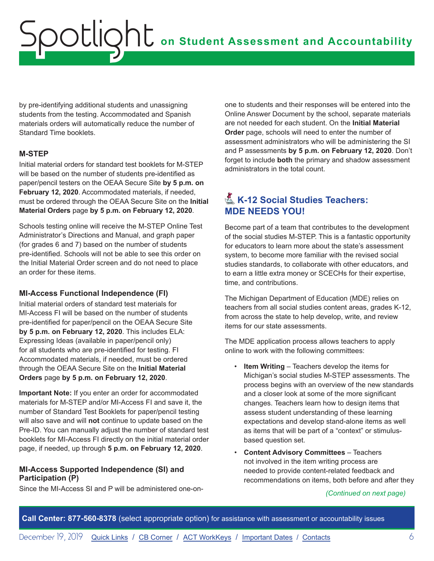by pre-identifying additional students and unassigning students from the testing. Accommodated and Spanish materials orders will automatically reduce the number of Standard Time booklets.

#### **M-STEP**

Initial material orders for standard test booklets for M-STEP will be based on the number of students pre-identified as paper/pencil testers on the OEAA Secure Site **by 5 p.m. on February 12, 2020**. Accommodated materials, if needed, must be ordered through the OEAA Secure Site on the **Initial Material Orders** page **by 5 p.m. on February 12, 2020**.

Schools testing online will receive the M-STEP Online Test Administrator's Directions and Manual, and graph paper (for grades 6 and 7) based on the number of students pre-identified. Schools will not be able to see this order on the Initial Material Order screen and do not need to place an order for these items.

#### **MI-Access Functional Independence (FI)**

Initial material orders of standard test materials for MI-Access FI will be based on the number of students pre-identified for paper/pencil on the OEAA Secure Site **by 5 p.m. on February 12, 2020**. This includes ELA: Expressing Ideas (available in paper/pencil only) for all students who are pre-identified for testing. FI Accommodated materials, if needed, must be ordered through the OEAA Secure Site on the **Initial Material Orders** page **by 5 p.m. on February 12, 2020**.

**Important Note:** If you enter an order for accommodated materials for M-STEP and/or MI-Access FI and save it, the number of Standard Test Booklets for paper/pencil testing will also save and will **not** continue to update based on the Pre-ID. You can manually adjust the number of standard test booklets for MI-Access FI directly on the initial material order page, if needed, up through **5 p.m. on February 12, 2020**.

### **MI-Access Supported Independence (SI) and Participation (P)**

Since the MI-Access SI and P will be administered one-on-

one to students and their responses will be entered into the Online Answer Document by the school, separate materials are not needed for each student. On the **Initial Material Order** page, schools will need to enter the number of assessment administrators who will be administering the SI and P assessments **by 5 p.m. on February 12, 2020**. Don't forget to include **both** the primary and shadow assessment administrators in the total count.

## K-12 Social Studies Teachers: **MDE NEEDS YOU!**

Become part of a team that contributes to the development of the social studies M-STEP. This is a fantastic opportunity for educators to learn more about the state's assessment system, to become more familiar with the revised social studies standards, to collaborate with other educators, and to earn a little extra money or SCECHs for their expertise, time, and contributions.

The Michigan Department of Education (MDE) relies on teachers from all social studies content areas, grades K-12, from across the state to help develop, write, and review items for our state assessments.

The MDE application process allows teachers to apply online to work with the following committees:

- **Item Writing** Teachers develop the items for Michigan's social studies M-STEP assessments. The process begins with an overview of the new standards and a closer look at some of the more significant changes. Teachers learn how to design items that assess student understanding of these learning expectations and develop stand-alone items as well as items that will be part of a "context" or stimulusbased question set.
- **Content Advisory Committees** Teachers not involved in the item writing process are needed to provide content-related feedback and recommendations on items, both before and after they

#### *(Continued on next page)*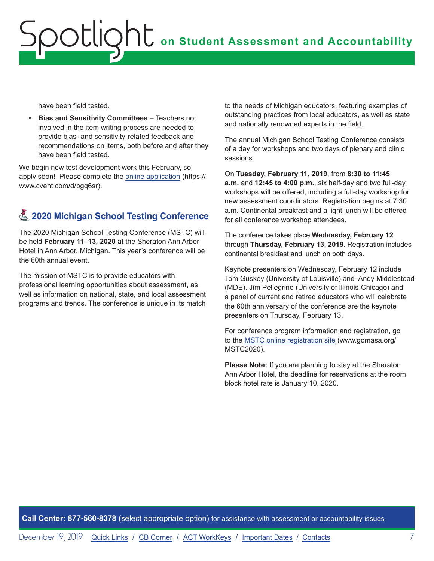have been field tested.

• **Bias and Sensitivity Committees** – Teachers not involved in the item writing process are needed to provide bias- and sensitivity-related feedback and recommendations on items, both before and after they have been field tested.

We begin new test development work this February, so apply soon! Please complete the [online application](https://www.cvent.com/d/pgq6sr) (https:// www.cvent.com/d/pgq6sr).

## **A 2020 Michigan School Testing Conference**

The 2020 Michigan School Testing Conference (MSTC) will be held **February 11–13, 2020** at the Sheraton Ann Arbor Hotel in Ann Arbor, Michigan. This year's conference will be the 60th annual event.

The mission of MSTC is to provide educators with professional learning opportunities about assessment, as well as information on national, state, and local assessment programs and trends. The conference is unique in its match to the needs of Michigan educators, featuring examples of outstanding practices from local educators, as well as state and nationally renowned experts in the field.

The annual Michigan School Testing Conference consists of a day for workshops and two days of plenary and clinic sessions.

On **Tuesday, February 11, 2019**, from **8:30 to 11:45 a.m.** and **12:45 to 4:00 p.m.**, six half-day and two full-day workshops will be offered, including a full-day workshop for new assessment coordinators. Registration begins at 7:30 a.m. Continental breakfast and a light lunch will be offered for all conference workshop attendees.

The conference takes place **Wednesday, February 12** through **Thursday, February 13, 2019**. Registration includes continental breakfast and lunch on both days.

Keynote presenters on Wednesday, February 12 include Tom Guskey (University of Louisville) and Andy Middlestead (MDE). Jim Pellegrino (University of Illinois-Chicago) and a panel of current and retired educators who will celebrate the 60th anniversary of the conference are the keynote presenters on Thursday, February 13.

For conference program information and registration, go to the [MSTC online registration site](http://www.gomasa.org/MSTC2020) (www.gomasa.org/ MSTC2020).

**Please Note:** If you are planning to stay at the Sheraton Ann Arbor Hotel, the deadline for reservations at the room block hotel rate is January 10, 2020.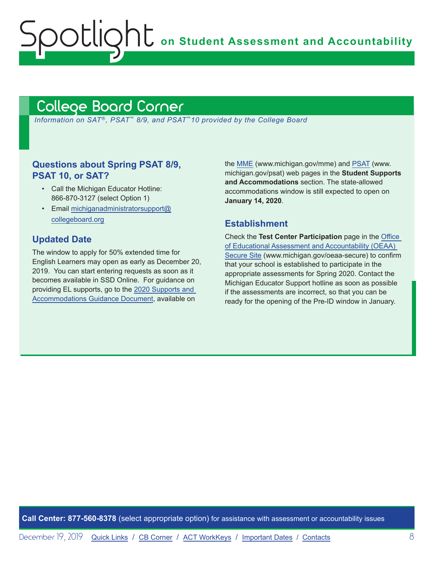**on Student Assessment and Accountability**

# <span id="page-7-0"></span>College Board Corner

Spotlight

*Information on SAT*®*, PSAT*™ *8/9, and PSAT*™*10 provided by the College Board*

## **Questions about Spring PSAT 8/9, PSAT 10, or SAT?**

- Call the Michigan Educator Hotline: 866-870-3127 (select Option 1)
- Email [michiganadministratorsupport@](mailto:michiganadministratorsupport%40collegeboard.org?subject=) [collegeboard.org](mailto:michiganadministratorsupport%40collegeboard.org?subject=)

## **Updated Date**

The window to apply for 50% extended time for English Learners may open as early as December 20, 2019. You can start entering requests as soon as it becomes available in SSD Online. For guidance on providing EL supports, go to the [2020 Supports and](https://www.michigan.gov/documents/mde/Michigan_Accommodations_Manual.final_480016_7.pdf)  [Accommodations Guidance Document](https://www.michigan.gov/documents/mde/Michigan_Accommodations_Manual.final_480016_7.pdf), available on

the [MME](www.michigan.gov/mme) (www.michigan.gov/mme) and [PSAT](http://www.michigan.gov/psat) (www. michigan.gov/psat) web pages in the **Student Supports and Accommodations** section. The state-allowed accommodations window is still expected to open on **January 14, 2020**.

## **Establishment**

Check the **Test Center Participation** page in the [Office](http://www.michigan.gov/oeaa-secure)  [of Educational Assessment and Accountability \(OEAA\)](http://www.michigan.gov/oeaa-secure)  [Secure Site](http://www.michigan.gov/oeaa-secure) (www.michigan.gov/oeaa-secure) to confirm that your school is established to participate in the appropriate assessments for Spring 2020. Contact the Michigan Educator Support hotline as soon as possible if the assessments are incorrect, so that you can be ready for the opening of the Pre-ID window in January.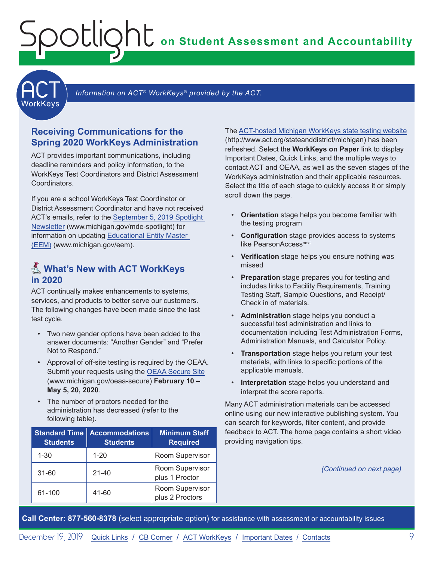**on Student Assessment and Accountability**



#### Information on ACT<sup>®</sup> WorkKeys<sup>®</sup> provided by the ACT.

## **Receiving Communications for the Spring 2020 WorkKeys Administration**

<span id="page-8-0"></span>Spotlight

ACT provides important communications, including deadline reminders and policy information, to the WorkKeys Test Coordinators and District Assessment Coordinators.

If you are a school WorkKeys Test Coordinator or District Assessment Coordinator and have not received ACT's emails, refer to the [September 5, 2019 Spotlight](https://www.michigan.gov/documents/mde/Spotlight_9-5-19_665116_7.pdf)  [Newsletter](https://www.michigan.gov/documents/mde/Spotlight_9-5-19_665116_7.pdf) (www.michigan.gov/mde-spotlight) for information on updating [Educational Entity Master](www.michigan.gov/EEM)  [\(EEM\)](www.michigan.gov/EEM) (www.michigan.gov/eem).

## **K** What's New with ACT WorkKeys **in 2020**

ACT continually makes enhancements to systems, services, and products to better serve our customers. The following changes have been made since the last test cycle.

- Two new gender options have been added to the answer documents: "Another Gender" and "Prefer Not to Respond."
- Approval of off-site testing is required by the OEAA. Submit your requests using the [OEAA Secure Site](http://www.michigan.gov/oeaa-secure) (www.michigan.gov/oeaa-secure) **February 10 – May 5, 20, 2020**.
- The number of proctors needed for the administration has decreased (refer to the following table).

| <b>Students</b> | <b>Standard Time   Accommodations</b><br><b>Students</b> | <b>Minimum Staff</b><br><b>Required</b> |
|-----------------|----------------------------------------------------------|-----------------------------------------|
| $1 - 30$        | $1 - 20$                                                 | Room Supervisor                         |
| $31 - 60$       | $21 - 40$                                                | Room Supervisor<br>plus 1 Proctor       |
| 61-100          | 41-60                                                    | Room Supervisor<br>plus 2 Proctors      |

#### The [ACT-hosted Michigan WorkKeys state testing website](http://www.act.org/stateanddistrict/michigan)

(http://www.act.org/stateanddistrict/michigan) has been refreshed. Select the **WorkKeys on Paper** link to display Important Dates, Quick Links, and the multiple ways to contact ACT and OEAA, as well as the seven stages of the WorkKeys administration and their applicable resources. Select the title of each stage to quickly access it or simply scroll down the page.

- **Orientation** stage helps you become familiar with the testing program
- **Configuration** stage provides access to systems like PearsonAccess<sup>next</sup>
- **Verification** stage helps you ensure nothing was missed
- **Preparation** stage prepares you for testing and includes links to Facility Requirements, Training Testing Staff, Sample Questions, and Receipt/ Check in of materials.
- **Administration** stage helps you conduct a successful test administration and links to documentation including Test Administration Forms, Administration Manuals, and Calculator Policy.
- **Transportation** stage helps you return your test materials, with links to specific portions of the applicable manuals.
- **Interpretation** stage helps you understand and interpret the score reports.

Many ACT administration materials can be accessed online using our new interactive publishing system. You can search for keywords, filter content, and provide feedback to ACT. The home page contains a short video providing navigation tips.

*(Continued on next page)*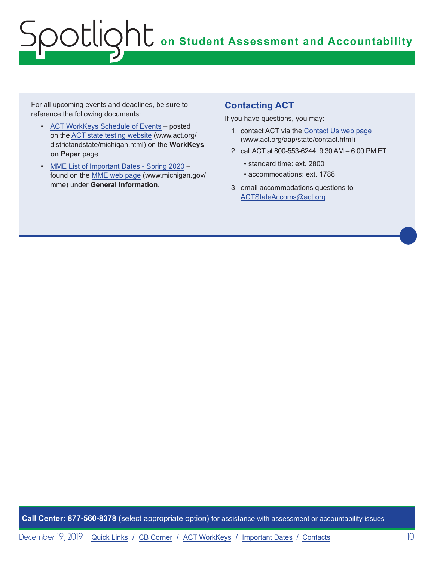For all upcoming events and deadlines, be sure to reference the following documents:

- [ACT WorkKeys Schedule of Events](http://www.act.org/content/dam/act/unsecured/documents/ScheduleofEventsWorkKeys-MI.pdf)  posted on the [ACT state testing website](http://www.act.org/content/act/en/products-and-services/state-and-district-solutions/michigan.html) (www.act.org/ districtandstate/michigan.html) on the **WorkKeys on Paper** page.
- [MME List of Important Dates Spring 2020](https://www.michigan.gov/documents/mde/MME_List_of_Important_Dates_668755_7.pdf) found on the [MME web page](www.michigan.gov/mme) (www.michigan.gov/ mme) under **General Information**.

## **Contacting ACT**

If you have questions, you may:

- 1. contact ACT via the [Contact Us web page](http://www.act.org/aap/state/contact.html) [\(www.act.org/aap/state/contact.html](https://www.act.org/aap/state/contact.html))
- 2. call ACT at 800-553-6244, 9:30 AM 6:00 PM ET
	- standard time: ext. 2800
	- accommodations: ext. 1788
- 3. email accommodations questions to [ACTStateAccoms@act.org](mailto:ACTStateAccoms%40act.org?subject=)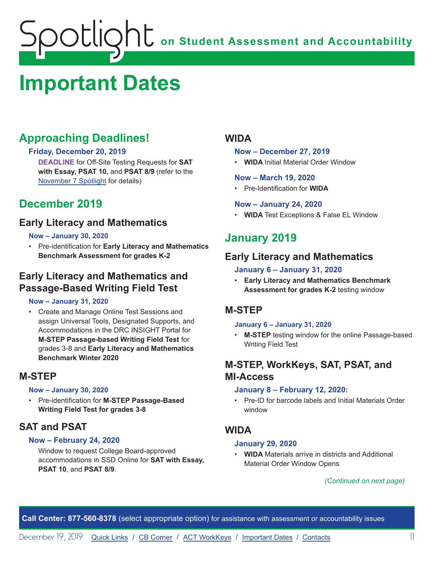# <span id="page-10-0"></span>**Important Dates**

## **Approaching Deadlines!**

### **Friday, December 20, 2019**

**DEADLINE** for Off-Site Testing Requests for **SAT with Essay, PSAT 10,** and **PSAT 8/9** (refer to the [November 7 Spotlight](https://www.michigan.gov/documents/mde/Spotlight_11-7-19_670956_7.pdf) for details)

## **December 2019**

## **Early Literacy and Mathematics**

#### **Now – January 30, 2020**

• Pre-identification for **Early Literacy and Mathematics Benchmark Assessment for grades K-2**

## **Early Literacy and Mathematics and Passage-Based Writing Field Test**

#### **Now – January 31, 2020**

• Create and Manage Online Test Sessions and assign Universal Tools, Designated Supports, and Accommodations in the DRC INSIGHT Portal for **M-STEP Passage-based Writing Field Test** for grades 3-8 and **Early Literacy and Mathematics Benchmark Winter 2020**

## **M-STEP**

#### **Now – January 30, 2020**

• Pre-identification for **M-STEP Passage-Based Writing Field Test for grades 3-8**

## **SAT and PSAT**

## **Now – February 24, 2020**

Window to request College Board-approved accommodations in SSD Online for **SAT with Essay, PSAT 10**, and **PSAT 8/9**.

## **WIDA**

#### **Now – December 27, 2019**

• **WIDA** Initial Material Order Window

### **Now – March 19, 2020**

• Pre-Identification for **WIDA**

### **Now – January 24, 2020**

• **WIDA** Test Exceptions & False EL Window

## **January 2019**

## **Early Literacy and Mathematics**

#### **January 6 – January 31, 2020**

• **Early Literacy and Mathematics Benchmark Assessment for grades K-2** testing window

## **M-STEP**

#### **January 6 – January 31, 2020**

• **M-STEP** testing window for the online Passage-based Writing Field Test

## **M-STEP, WorkKeys, SAT, PSAT, and MI-Access**

#### **January 8 – February 12, 2020:**

• Pre-ID for barcode labels and Initial Materials Order window

## **WIDA**

#### **January 29, 2020**

• **WIDA** Materials arrive in districts and Additional Material Order Window Opens

## *(Continued on next page)*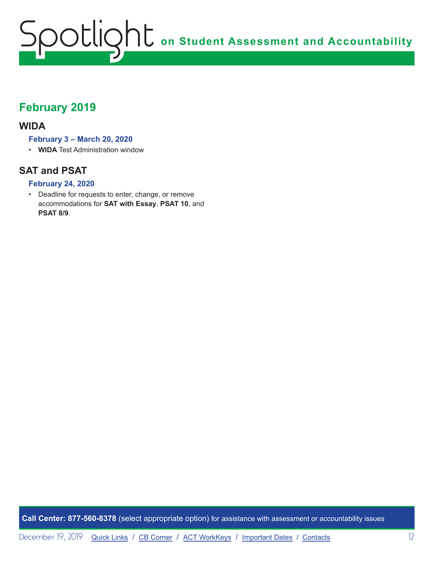## **February 2019**

## **WIDA**

### **February 3 – March 20, 2020**

• **WIDA** Test Administration window

## **SAT and PSAT**

### **February 24, 2020**

• Deadline for requests to enter, change, or remove accommodations for **SAT with Essay**, **PSAT 10**, and **PSAT 8/9**.